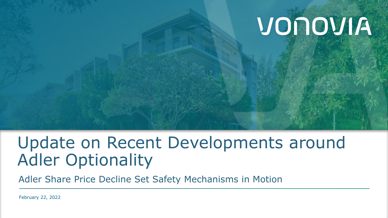# VONOVIA

## Update on Recent Developments around Adler Optionality

Adler Share Price Decline Set Safety Mechanisms in Motion

February 22, 2022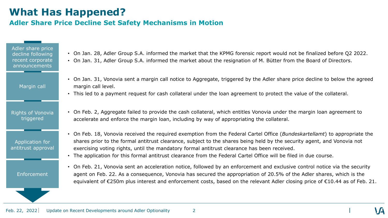#### **What Has Happened?**

#### **Adler Share Price Decline Set Safety Mechanisms in Motion**

Adler share price decline following recent corporate announcements

Margin call

Rights of Vonovia triggered

Application for antitrust approval

Enforcement

- On Jan. 28, Adler Group S.A. informed the market that the KPMG forensic report would not be finalized before Q2 2022.
- On Jan. 31, Adler Group S.A. informed the market about the resignation of M. Bütter from the Board of Directors.
- On Jan. 31, Vonovia sent a margin call notice to Aggregate, triggered by the Adler share price decline to below the agreed margin call level.
- This led to a payment request for cash collateral under the loan agreement to protect the value of the collateral.
- On Feb. 2, Aggregate failed to provide the cash collateral, which entitles Vonovia under the margin loan agreement to accelerate and enforce the margin loan, including by way of appropriating the collateral.
- On Feb. 18, Vonovia received the required exemption from the Federal Cartel Office (*Bundeskartellamt*) to appropriate the shares prior to the formal antitrust clearance, subject to the shares being held by the security agent, and Vonovia not exercising voting rights, until the mandatory formal antitrust clearance has been received.
- The application for this formal antitrust clearance from the Federal Cartel Office will be filed in due course.
- On Feb. 21, Vonovia sent an acceleration notice, followed by an enforcement and exclusive control notice via the security agent on Feb. 22. As a consequence, Vonovia has secured the appropriation of 20.5% of the Adler shares, which is the equivalent of €250m plus interest and enforcement costs, based on the relevant Adler closing price of €10.44 as of Feb. 21.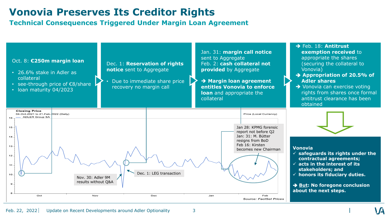### **Vonovia Preserves Its Creditor Rights**

**Technical Consequences Triggered Under Margin Loan Agreement**

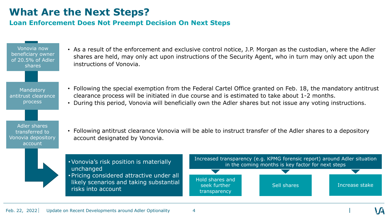#### **What Are the Next Steps?**

#### **Loan Enforcement Does Not Preempt Decision On Next Steps**

Vonovia now beneficiary owner of 20.5% of Adler shares

Mandatory antitrust clearance process

Adler shares transferred to Vonovia depository account

- As a result of the enforcement and exclusive control notice, J.P. Morgan as the custodian, where the Adler shares are held, may only act upon instructions of the Security Agent, who in turn may only act upon the instructions of Vonovia.
- Following the special exemption from the Federal Cartel Office granted on Feb. 18, the mandatory antitrust clearance process will be initiated in due course and is estimated to take about 1-2 months.
- During this period, Vonovia will beneficially own the Adler shares but not issue any voting instructions.
- Following antitrust clearance Vonovia will be able to instruct transfer of the Adler shares to a depository account designated by Vonovia.

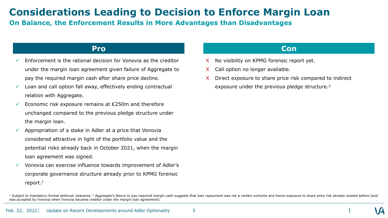#### **Considerations Leading to Decision to Enforce Margin Loan**

#### **On Balance, the Enforcement Results in More Advantages than Disadvantages**

- Enforcement is the rational decision for Vonovia as the creditor under the margin loan agreement given failure of Aggregate to pay the required margin cash after share price decline.
- Loan and call option fall away, effectively ending contractual relation with Aggregate.
- Economic risk exposure remains at €250m and therefore unchanged compared to the previous pledge structure under the margin loan.
- Appropriation of a stake in Adler at a price that Vonovia considered attractive in light of the portfolio value and the potential risks already back in October 2021, when the margin loan agreement was signed.
- Vonovia can exercise influence towards improvement of Adler's corporate governance structure already prior to KPMG forensic report.<sup>1</sup>

#### **Pro Con**

- No visibility on KPMG forensic report yet.
- X Call option no longer available.
- X Direct exposure to share price risk compared to indirect exposure under the previous pledge structure.<sup>2</sup>

<sup>&</sup>lt;sup>1</sup> Subject to mandatory formal antitrust clearance. <sup>2</sup> Aggregate's failure to pay required margin cash suggests that loan repayment was not a certain outcome and hence exposure to share price risk already existed before was accepted by Vonovia when Vonovia became creditor under the margin loan agreement).